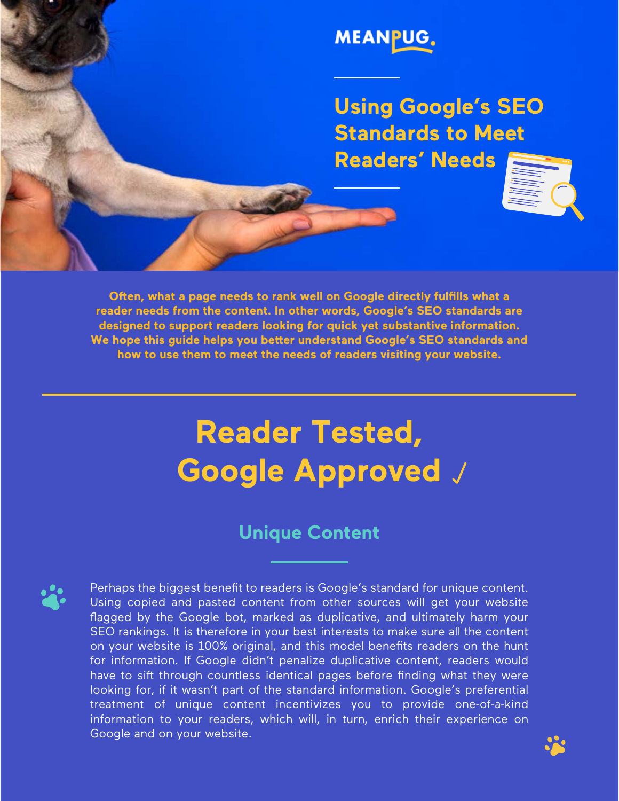

**Using Google's SEO Standards to Meet Readers' Needs**

**Often, what a page needs to rank well on Google directly fulfills what a reader needs from the content. In other words, Google's SEO standards are designed to support readers looking for quick yet substantive information.**  We hope this guide helps you better understand Google's SEO standards and **how to use them to meet the needs of readers visiting your website.**

# **Reader Tested, Google Approved**

### **Unique Content**

Perhaps the biggest benefit to readers is Google's standard for unique content. Using copied and pasted content from other sources will get your website flagged by the Google bot, marked as duplicative, and ultimately harm your SEO rankings. It is therefore in your best interests to make sure all the content on your website is 100% original, and this model benefits readers on the hunt for information. If Google didn't penalize duplicative content, readers would have to sift through countless identical pages before finding what they were looking for, if it wasn't part of the standard information. Google's preferential treatment of unique content incentivizes you to provide one-of-a-kind information to your readers, which will, in turn, enrich their experience on Google and on your website.

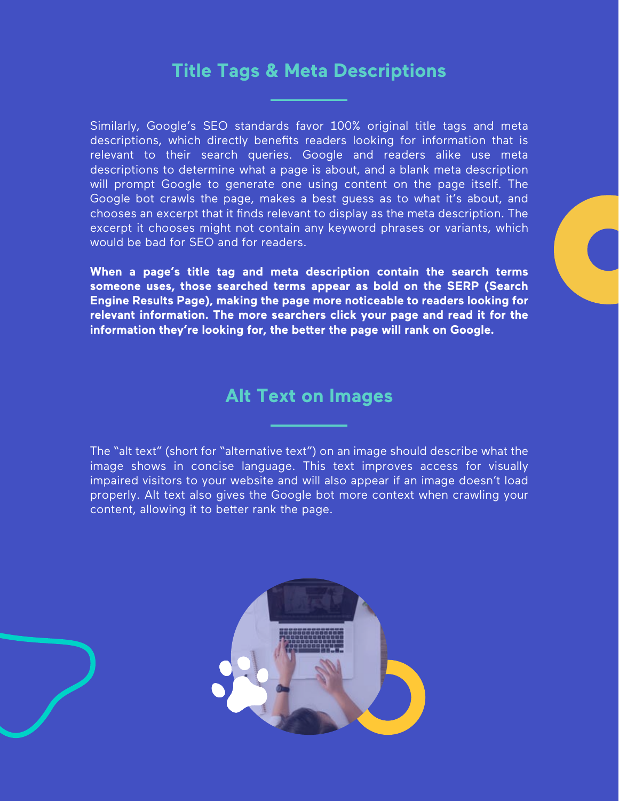#### **Title Tags & Meta Descriptions**

Similarly, Google's SEO standards favor 100% original title tags and meta descriptions, which directly benefits readers looking for information that is relevant to their search queries. Google and readers alike use meta descriptions to determine what a page is about, and a blank meta description will prompt Google to generate one using content on the page itself. The Google bot crawls the page, makes a best guess as to what it's about, and chooses an excerpt that it finds relevant to display as the meta description. The excerpt it chooses might not contain any keyword phrases or variants, which would be bad for SEO and for readers.

**When a page's title tag and meta description contain the search terms someone uses, those searched terms appear as bold on the SERP (Search Engine Results Page), making the page more noticeable to readers looking for relevant information. The more searchers click your page and read it for the**  information they're looking for, the better the page will rank on Google.

#### **Alt Text on Images**

The "alt text" (short for "alternative text") on an image should describe what the image shows in concise language. This text improves access for visually impaired visitors to your website and will also appear if an image doesn't load properly. Alt text also gives the Google bot more context when crawling your content, allowing it to better rank the page.

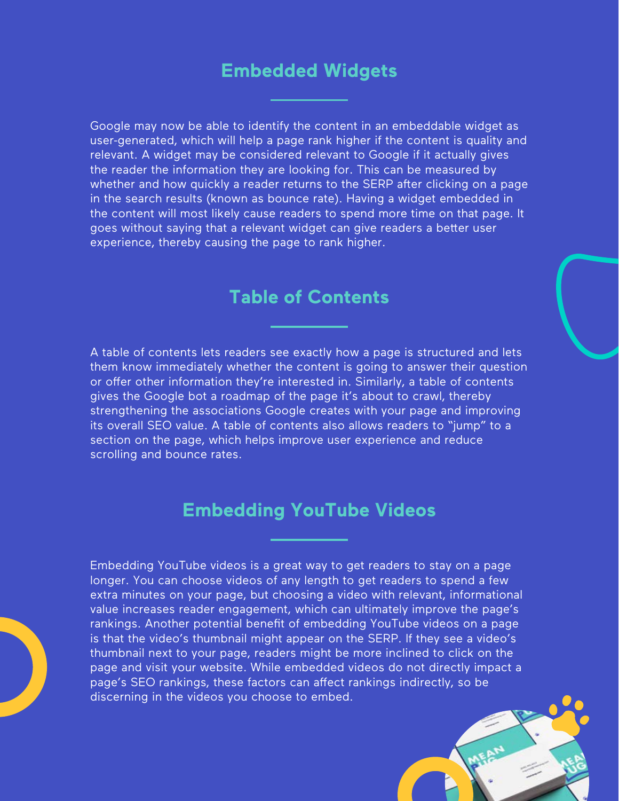#### **Embedded Widgets**

Google may now be able to identify the content in an embeddable widget as user-generated, which will help a page rank higher if the content is quality and relevant. A widget may be considered relevant to Google if it actually gives the reader the information they are looking for. This can be measured by whether and how quickly a reader returns to the SERP after clicking on a page in the search results (known as bounce rate). Having a widget embedded in the content will most likely cause readers to spend more time on that page. It goes without saying that a relevant widget can give readers a better user experience, thereby causing the page to rank higher.

#### **Table of Contents**

A table of contents lets readers see exactly how a page is structured and lets them know immediately whether the content is going to answer their question or offer other information they're interested in. Similarly, a table of contents gives the Google bot a roadmap of the page it's about to crawl, thereby strengthening the associations Google creates with your page and improving its overall SEO value. A table of contents also allows readers to "jump" to a section on the page, which helps improve user experience and reduce scrolling and bounce rates.

#### **Embedding YouTube Videos**

Embedding YouTube videos is a great way to get readers to stay on a page longer. You can choose videos of any length to get readers to spend a few extra minutes on your page, but choosing a video with relevant, informational value increases reader engagement, which can ultimately improve the page's rankings. Another potential benefit of embedding YouTube videos on a page is that the video's thumbnail might appear on the SERP. If they see a video's thumbnail next to your page, readers might be more inclined to click on the page and visit your website. While embedded videos do not directly impact a page's SEO rankings, these factors can affect rankings indirectly, so be discerning in the videos you choose to embed.